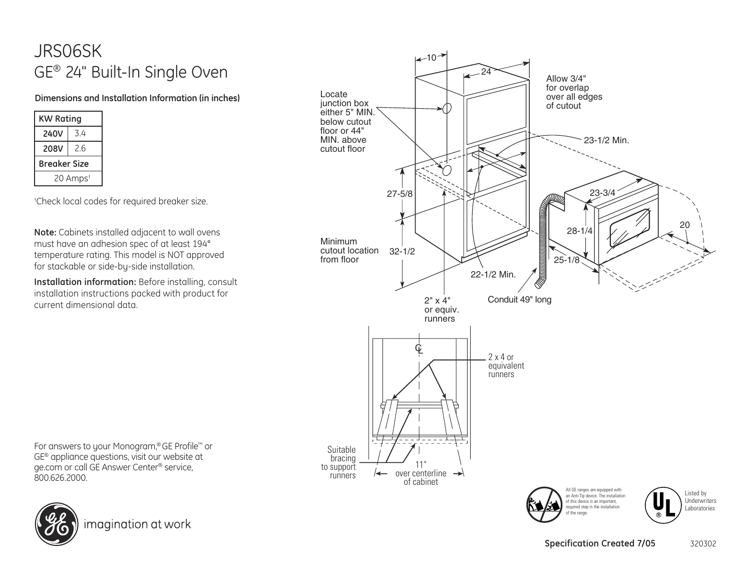## JRS06SK GE® 24" Built-In Single Oven

## **Dimensions and Installation Information (in inches)**

| <b>KW Rating</b>     |     |
|----------------------|-----|
| <b>240V</b>          | 34  |
| 208V                 | 2.6 |
| Breaker Size         |     |
| 20 Amps <sup>t</sup> |     |

† Check local codes for required breaker size.

**Note:** Cabinets installed adjacent to wall ovens must have an adhesion spec of at least 194° temperature rating. This model is NOT approved for stackable or side-by-side installation.

**Installation information:** Before installing, consult installation instructions packed with product for current dimensional data.



For answers to your Monogram, ® GE Profile™ or GE® appliance questions, visit our website at ge.com or call GE Answer Center® service, 800.626.2000.